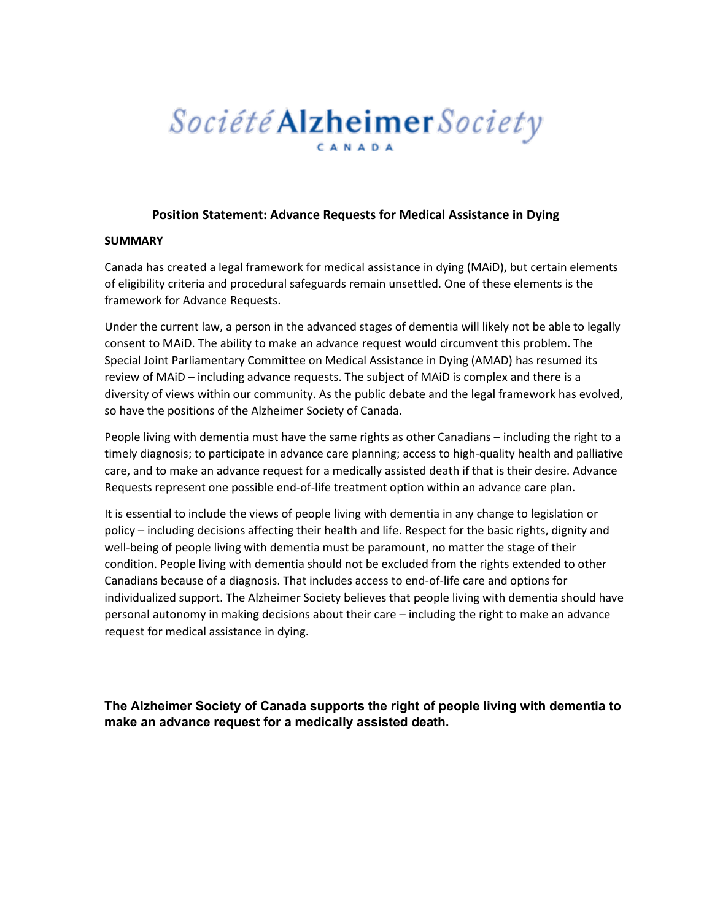# Société **Alzheimer** Society CANADA

#### **Position Statement: Advance Requests for Medical Assistance in Dying**

#### **SUMMARY**

Canada has created a legal framework for medical assistance in dying (MAiD), but certain elements of eligibility criteria and procedural safeguards remain unsettled. One of these elements is the framework for Advance Requests.

Under the current law, a person in the advanced stages of dementia will likely not be able to legally consent to MAiD. The ability to make an advance request would circumvent this problem. The Special Joint Parliamentary Committee on Medical Assistance in Dying (AMAD) has resumed its review of MAiD – including advance requests. The subject of MAiD is complex and there is a diversity of views within our community. As the public debate and the legal framework has evolved, so have the positions of the Alzheimer Society of Canada.

People living with dementia must have the same rights as other Canadians – including the right to a timely diagnosis; to participate in advance care planning; access to high-quality health and palliative care, and to make an advance request for a medically assisted death if that is their desire. Advance Requests represent one possible end-of-life treatment option within an advance care plan.

It is essential to include the views of people living with dementia in any change to legislation or policy – including decisions affecting their health and life. Respect for the basic rights, dignity and well-being of people living with dementia must be paramount, no matter the stage of their condition. People living with dementia should not be excluded from the rights extended to other Canadians because of a diagnosis. That includes access to end-of-life care and options for individualized support. The Alzheimer Society believes that people living with dementia should have personal autonomy in making decisions about their care – including the right to make an advance request for medical assistance in dying.

**The Alzheimer Society of Canada supports the right of people living with dementia to make an advance request for a medically assisted death.**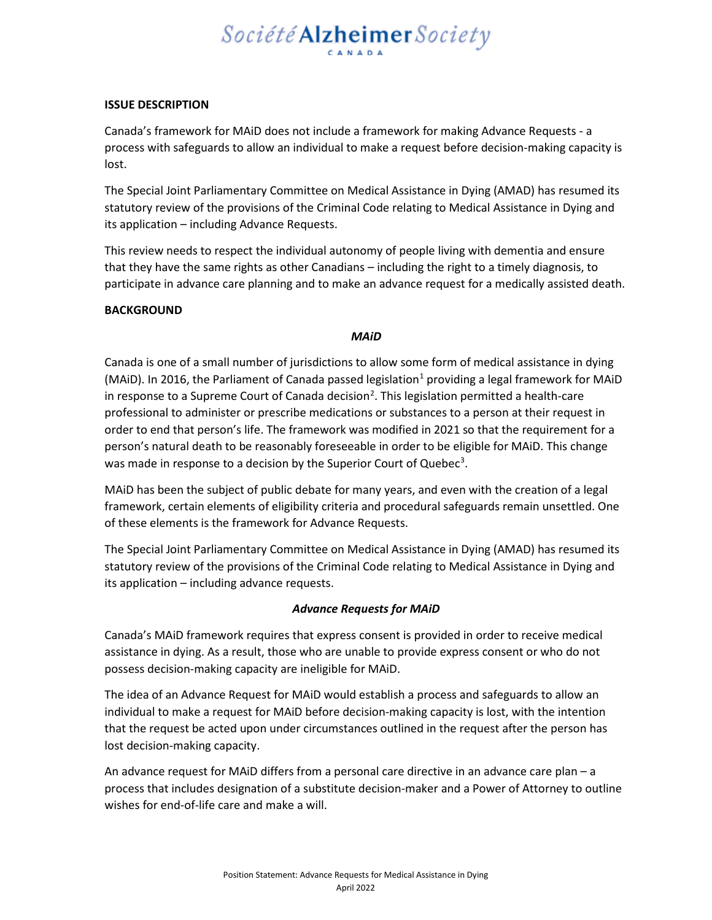# Société Alzheimer Society

#### **ISSUE DESCRIPTION**

Canada's framework for MAiD does not include a framework for making Advance Requests - a process with safeguards to allow an individual to make a request before decision-making capacity is lost.

The Special Joint Parliamentary Committee on Medical Assistance in Dying (AMAD) has resumed its statutory review of the provisions of the Criminal Code relating to Medical Assistance in Dying and its application – including Advance Requests.

This review needs to respect the individual autonomy of people living with dementia and ensure that they have the same rights as other Canadians – including the right to a timely diagnosis, to participate in advance care planning and to make an advance request for a medically assisted death.

#### **BACKGROUND**

#### *MAiD*

Canada is one of a small number of jurisdictions to allow some form of medical assistance in dying (MAiD). In 20[1](#page-3-0)6, the Parliament of Canada passed legislation<sup>1</sup> providing a legal framework for MAiD in response to a Supreme Court of Canada decision<sup>[2](#page-3-1)</sup>. This legislation permitted a health-care professional to administer or prescribe medications or substances to a person at their request in order to end that person's life. The framework was modified in 2021 so that the requirement for a person's natural death to be reasonably foreseeable in order to be eligible for MAiD. This change was made in response to a decision by the Superior Court of Quebec<sup>[3](#page-3-2)</sup>.

MAiD has been the subject of public debate for many years, and even with the creation of a legal framework, certain elements of eligibility criteria and procedural safeguards remain unsettled. One of these elements is the framework for Advance Requests.

The Special Joint Parliamentary Committee on Medical Assistance in Dying (AMAD) has resumed its statutory review of the provisions of the Criminal Code relating to Medical Assistance in Dying and its application – including advance requests.

#### *Advance Requests for MAiD*

Canada's MAiD framework requires that express consent is provided in order to receive medical assistance in dying. As a result, those who are unable to provide express consent or who do not possess decision-making capacity are ineligible for MAiD.

The idea of an Advance Request for MAiD would establish a process and safeguards to allow an individual to make a request for MAiD before decision-making capacity is lost, with the intention that the request be acted upon under circumstances outlined in the request after the person has lost decision-making capacity.

An advance request for MAiD differs from a personal care directive in an advance care plan – a process that includes designation of a substitute decision-maker and a Power of Attorney to outline wishes for end-of-life care and make a will.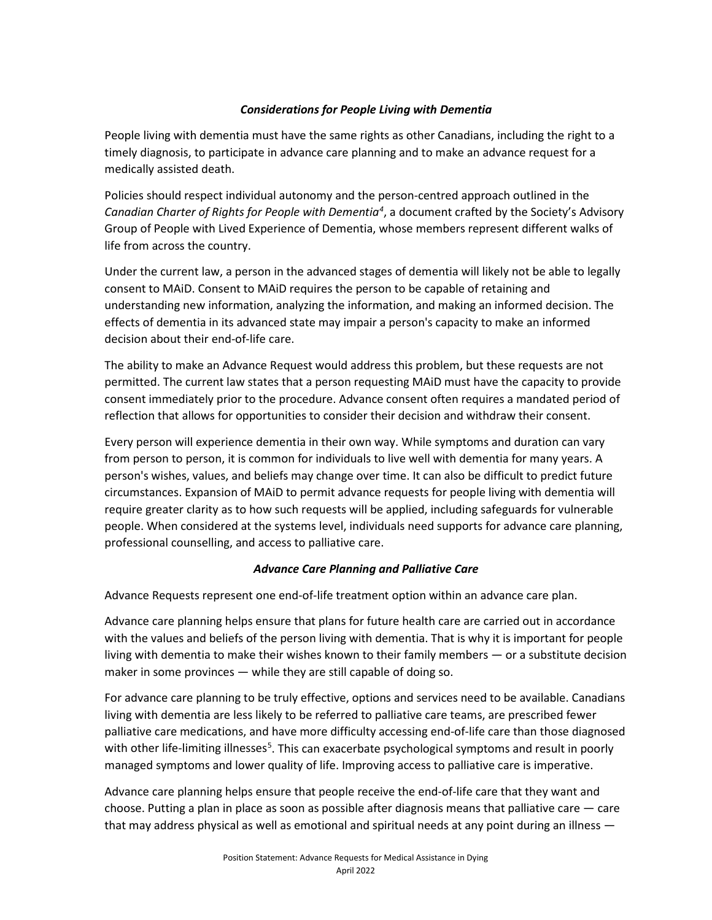# *Considerations for People Living with Dementia*

People living with dementia must have the same rights as other Canadians, including the right to a timely diagnosis, to participate in advance care planning and to make an advance request for a medically assisted death.

Policies should respect individual autonomy and the person-centred approach outlined in the *Canadian Charter of Rights for People with Dementia[4](#page-3-3)* , a document crafted by the Society's Advisory Group of People with Lived Experience of Dementia, whose members represent different walks of life from across the country.

Under the current law, a person in the advanced stages of dementia will likely not be able to legally consent to MAiD. Consent to MAiD requires the person to be capable of retaining and understanding new information, analyzing the information, and making an informed decision. The effects of dementia in its advanced state may impair a person's capacity to make an informed decision about their end-of-life care.

The ability to make an Advance Request would address this problem, but these requests are not permitted. The current law states that a person requesting MAiD must have the capacity to provide consent immediately prior to the procedure. Advance consent often requires a mandated period of reflection that allows for opportunities to consider their decision and withdraw their consent.

Every person will experience dementia in their own way. While symptoms and duration can vary from person to person, it is common for individuals to live well with dementia for many years. A person's wishes, values, and beliefs may change over time. It can also be difficult to predict future circumstances. Expansion of MAiD to permit advance requests for people living with dementia will require greater clarity as to how such requests will be applied, including safeguards for vulnerable people. When considered at the systems level, individuals need supports for advance care planning, professional counselling, and access to palliative care.

# *Advance Care Planning and Palliative Care*

Advance Requests represent one end-of-life treatment option within an advance care plan.

Advance care planning helps ensure that plans for future health care are carried out in accordance with the values and beliefs of the person living with dementia. That is why it is important for people living with dementia to make their wishes known to their family members — or a substitute decision maker in some provinces — while they are still capable of doing so.

For advance care planning to be truly effective, options and services need to be available. Canadians living with dementia are less likely to be referred to palliative care teams, are prescribed fewer palliative care medications, and have more difficulty accessing end-of-life care than those diagnosed with other life-limiting illnesses<sup>[5](#page-3-4)</sup>. This can exacerbate psychological symptoms and result in poorly managed symptoms and lower quality of life. Improving access to palliative care is imperative.

Advance care planning helps ensure that people receive the end-of-life care that they want and choose. Putting a plan in place as soon as possible after diagnosis means that palliative care — care that may address physical as well as emotional and spiritual needs at any point during an illness —